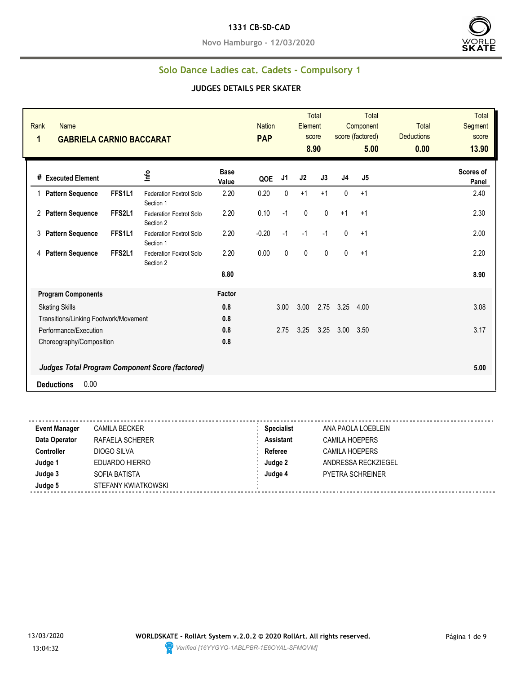#### **1331 CB-SD-CAD**

**Novo Hamburgo - 12/03/2020**



## **Solo Dance Ladies cat. Cadets - Compulsory 1**

| Rank<br><b>Name</b><br>1<br><b>GABRIELA CARNIO BACCARAT</b> |                                             |                      | <b>Nation</b><br><b>PAP</b> |      | Element     | Total<br>score<br>8.90 |      | <b>Total</b><br>Component<br>score (factored)<br>5.00 | <b>Total</b><br><b>Deductions</b><br>0.00 | <b>Total</b><br><b>Segment</b><br>score<br>13.90 |
|-------------------------------------------------------------|---------------------------------------------|----------------------|-----------------------------|------|-------------|------------------------|------|-------------------------------------------------------|-------------------------------------------|--------------------------------------------------|
| # Executed Element                                          | ١πρ                                         | <b>Base</b><br>Value | QOE                         | J1   | J2          | J3                     | J4   | J5                                                    |                                           | Scores of<br>Panel                               |
| FFS1L1<br><b>Pattern Sequence</b><br>1                      | Federation Foxtrot Solo<br>Section 1        | 2.20                 | 0.20                        | 0    | $+1$        | $+1$                   | 0    | $+1$                                                  |                                           | 2.40                                             |
| FFS2L1<br><b>Pattern Sequence</b><br>2                      | <b>Federation Foxtrot Solo</b><br>Section 2 | 2.20                 | 0.10                        | $-1$ | $\mathbf 0$ | 0                      | $+1$ | $+1$                                                  |                                           | 2.30                                             |
| FFS1L1<br><b>Pattern Sequence</b><br>3                      | <b>Federation Foxtrot Solo</b><br>Section 1 | 2.20                 | $-0.20$                     | $-1$ | $-1$        | $-1$                   | 0    | $+1$                                                  |                                           | 2.00                                             |
| FFS2L1<br><b>Pattern Sequence</b><br>4                      | <b>Federation Foxtrot Solo</b><br>Section 2 | 2.20                 | 0.00                        | 0    | $\pmb{0}$   | $\mathbf{0}$           | 0    | $+1$                                                  |                                           | 2.20                                             |
|                                                             |                                             | 8.80                 |                             |      |             |                        |      |                                                       |                                           | 8.90                                             |
| <b>Program Components</b>                                   |                                             | Factor               |                             |      |             |                        |      |                                                       |                                           |                                                  |
| <b>Skating Skills</b>                                       |                                             | 0.8                  |                             | 3.00 | 3.00        | 2.75                   | 3.25 | 4.00                                                  |                                           | 3.08                                             |
| Transitions/Linking Footwork/Movement                       |                                             | 0.8                  |                             |      |             |                        |      |                                                       |                                           |                                                  |
| Performance/Execution                                       |                                             | 0.8                  |                             | 2.75 | 3.25        | 3.25                   | 3.00 | 3.50                                                  |                                           | 3.17                                             |
| Choreography/Composition                                    |                                             | 0.8                  |                             |      |             |                        |      |                                                       |                                           |                                                  |
| Judges Total Program Component Score (factored)             |                                             |                      |                             |      |             |                        |      |                                                       |                                           | 5.00                                             |
| 0.00<br><b>Deductions</b>                                   |                                             |                      |                             |      |             |                        |      |                                                       |                                           |                                                  |

| <b>Event Manager</b> | <b>CAMILA BECKER</b> | <b>Specialist</b> | ANA PAOLA LOEBLEIN      |
|----------------------|----------------------|-------------------|-------------------------|
| Data Operator        | RAFAELA SCHERER      | <b>Assistant</b>  | <b>CAMILA HOEPERS</b>   |
| <b>Controller</b>    | DIOGO SILVA          | Referee           | CAMILA HOEPERS          |
| Judge 1              | EDUARDO HIERRO       | Judge 2           | ANDRESSA RECKZIEGEL     |
| Judge 3              | SOFIA BATISTA        | Judge 4           | <b>PYETRA SCHREINER</b> |
| Judge 5              | STEFANY KWIATKOWSKI  |                   |                         |
|                      |                      |                   |                         |

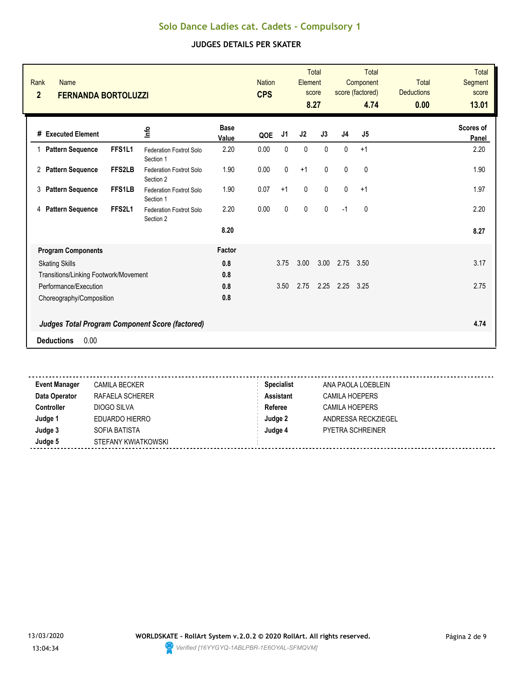| Rank<br><b>Name</b><br>$\overline{2}$<br><b>FERNANDA BORTOLUZZI</b> |        |                                                   |                      | <b>Nation</b><br><b>CPS</b> |              | Element      | <b>Total</b><br>score<br>8.27 |                | <b>Total</b><br>Component<br>score (factored)<br>4.74 | <b>Total</b><br><b>Deductions</b><br>0.00 | Total<br>Segment<br>score<br>13.01 |
|---------------------------------------------------------------------|--------|---------------------------------------------------|----------------------|-----------------------------|--------------|--------------|-------------------------------|----------------|-------------------------------------------------------|-------------------------------------------|------------------------------------|
| # Executed Element                                                  |        | ١π                                                | <b>Base</b><br>Value | QOE                         | J1           | J2           | J3                            | J <sub>4</sub> | J <sub>5</sub>                                        |                                           | <b>Scores of</b><br>Panel          |
| 1 Pattern Sequence                                                  | FFS1L1 | <b>Federation Foxtrot Solo</b>                    | 2.20                 | 0.00                        | $\mathbf{0}$ | $\mathbf{0}$ | $\mathbf{0}$                  | $\mathbf{0}$   | $+1$                                                  |                                           | 2.20                               |
| 2 Pattern Sequence                                                  | FFS2LB | Section 1<br>Federation Foxtrot Solo<br>Section 2 | 1.90                 | 0.00                        | $\pmb{0}$    | $+1$         | 0                             | $\mathbf 0$    | 0                                                     |                                           | 1.90                               |
| 3<br><b>Pattern Sequence</b>                                        | FFS1LB | <b>Federation Foxtrot Solo</b><br>Section 1       | 1.90                 | 0.07                        | $+1$         | $\mathbf{0}$ | $\mathbf{0}$                  | $\mathbf{0}$   | $+1$                                                  |                                           | 1.97                               |
| <b>Pattern Sequence</b><br>4                                        | FFS2L1 | Federation Foxtrot Solo<br>Section 2              | 2.20                 | 0.00                        | $\mathbf{0}$ | 0            | $\mathbf{0}$                  | $-1$           | $\mathbf{0}$                                          |                                           | 2.20                               |
|                                                                     |        |                                                   | 8.20                 |                             |              |              |                               |                |                                                       |                                           | 8.27                               |
| <b>Program Components</b>                                           |        |                                                   | Factor               |                             |              |              |                               |                |                                                       |                                           |                                    |
| <b>Skating Skills</b>                                               |        |                                                   | 0.8                  |                             | 3.75         | 3.00         | 3.00                          | 2.75           | 3.50                                                  |                                           | 3.17                               |
| Transitions/Linking Footwork/Movement                               |        |                                                   | 0.8                  |                             |              |              |                               |                |                                                       |                                           |                                    |
| Performance/Execution                                               |        |                                                   | 0.8                  |                             | 3.50         | 2.75         |                               | $2.25$ $2.25$  | 3.25                                                  |                                           | 2.75                               |
| Choreography/Composition                                            |        |                                                   | 0.8                  |                             |              |              |                               |                |                                                       |                                           |                                    |
| <b>Judges Total Program Component Score (factored)</b>              |        |                                                   |                      |                             |              |              |                               |                |                                                       |                                           | 4.74                               |
| 0.00<br><b>Deductions</b>                                           |        |                                                   |                      |                             |              |              |                               |                |                                                       |                                           |                                    |
|                                                                     |        |                                                   |                      |                             |              |              |                               |                |                                                       |                                           |                                    |

| <b>Event Manager</b> | <b>CAMILA BECKER</b> | <b>Specialist</b> | ANA PAOLA LOEBLEIN      |
|----------------------|----------------------|-------------------|-------------------------|
| Data Operator        | RAFAELA SCHERER      | <b>Assistant</b>  | <b>CAMILA HOEPERS</b>   |
| Controller           | DIOGO SILVA          | Referee           | CAMILA HOEPERS          |
| Judge 1              | EDUARDO HIERRO       | Judge 2           | ANDRESSA RECKZIEGEL     |
| Judge 3              | SOFIA BATISTA        | Judge 4           | <b>PYETRA SCHREINER</b> |
| Judge 5              | STEFANY KWIATKOWSKI  |                   |                         |
|                      |                      |                   |                         |

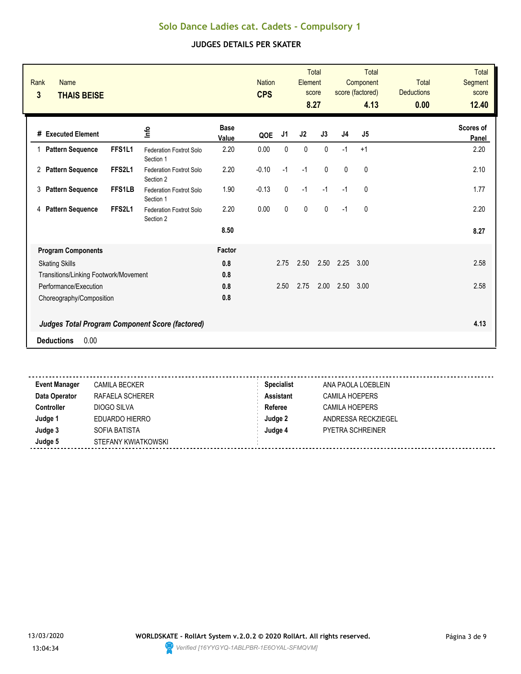#### **JUDGES DETAILS PER SKATER**

| Rank<br><b>Name</b><br>3<br><b>THAIS BEISE</b> |               |                                                        |                      | <b>Nation</b><br><b>CPS</b> |           | Element | <b>Total</b><br>score<br>8.27 |                | <b>Total</b><br>Component<br>score (factored)<br>4.13 | <b>Total</b><br><b>Deductions</b><br>0.00 | <b>Total</b><br>Segment<br>score<br>12.40 |
|------------------------------------------------|---------------|--------------------------------------------------------|----------------------|-----------------------------|-----------|---------|-------------------------------|----------------|-------------------------------------------------------|-------------------------------------------|-------------------------------------------|
| # Executed Element                             |               | ۴ů                                                     | <b>Base</b><br>Value | QOE                         | J1        | J2      | J3                            | J <sub>4</sub> | J5                                                    |                                           | Scores of<br>Panel                        |
| 1 Pattern Sequence                             | FFS1L1        | <b>Federation Foxtrot Solo</b><br>Section 1            | 2.20                 | 0.00                        | 0         | 0       | $\mathbf{0}$                  | $-1$           | $+1$                                                  |                                           | 2.20                                      |
| 2 Pattern Sequence                             | FFS2L1        | Federation Foxtrot Solo<br>Section 2                   | 2.20                 | $-0.10$                     | $-1$      | $-1$    | $\mathbf{0}$                  | $\mathbf{0}$   | $\mathbf{0}$                                          |                                           | 2.10                                      |
| 3<br><b>Pattern Sequence</b>                   | <b>FFS1LB</b> | <b>Federation Foxtrot Solo</b><br>Section 1            | 1.90                 | $-0.13$                     | 0         | $-1$    | $-1$                          | $-1$           | $\mathbf{0}$                                          |                                           | 1.77                                      |
| 4 Pattern Sequence                             | FFS2L1        | Federation Foxtrot Solo<br>Section 2                   | 2.20                 | 0.00                        | $\pmb{0}$ | 0       | $\mathbf{0}$                  | $-1$           | 0                                                     |                                           | 2.20                                      |
|                                                |               |                                                        | 8.50                 |                             |           |         |                               |                |                                                       |                                           | 8.27                                      |
| <b>Program Components</b>                      |               |                                                        | Factor               |                             |           |         |                               |                |                                                       |                                           |                                           |
| <b>Skating Skills</b>                          |               |                                                        | 0.8                  |                             | 2.75      | 2.50    | 2.50                          | 2.25           | 3.00                                                  |                                           | 2.58                                      |
| Transitions/Linking Footwork/Movement          |               |                                                        | 0.8                  |                             |           |         |                               |                |                                                       |                                           |                                           |
| Performance/Execution                          |               |                                                        | 0.8                  |                             | 2.50      | 2.75    | 2.00                          | 2.50           | 3.00                                                  |                                           | 2.58                                      |
| Choreography/Composition                       |               |                                                        | 0.8                  |                             |           |         |                               |                |                                                       |                                           |                                           |
|                                                |               | <b>Judges Total Program Component Score (factored)</b> |                      |                             |           |         |                               |                |                                                       |                                           | 4.13                                      |
| 0.00<br><b>Deductions</b>                      |               |                                                        |                      |                             |           |         |                               |                |                                                       |                                           |                                           |
|                                                |               |                                                        |                      |                             |           |         |                               |                |                                                       |                                           |                                           |

**Event Manager** CAMILA BECKER **Specialist** ANA PAOLA LOEBLEIN **Data Operator RAFAELA SCHERER <b>Assistant** CAMILA HOEPERS **Controller** DIOGO SILVA **DIOGO SILVA Referee** CAMILA HOEPERS **Judge 1** EDUARDO HIERRO **Judge 2** ANDRESSA RECKZIEGEL **Judge 3** SOFIA BATISTA **Judge 4** PYETRA SCHREINER **Judge 5** STEFANY KWIATKOWSKI

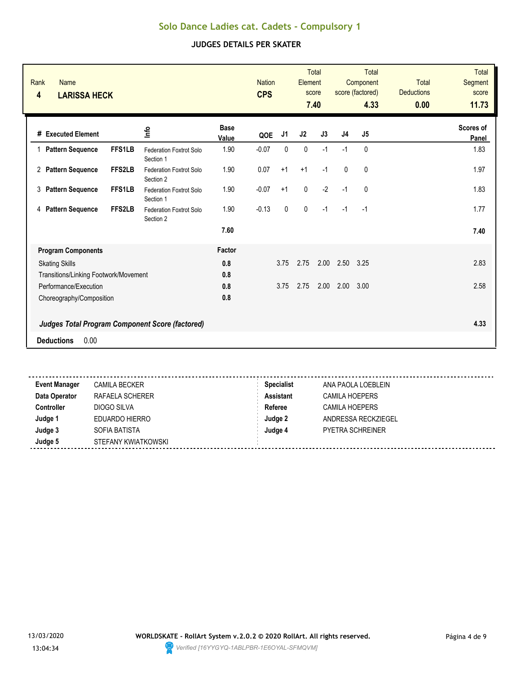| Rank<br><b>Name</b><br>4<br><b>LARISSA HECK</b>        |               |                                             |                      | <b>Nation</b><br><b>CPS</b> |           | Element        | <b>Total</b><br>score<br>7.40 |                | <b>Total</b><br>Component<br>score (factored)<br>4.33 | <b>Total</b><br><b>Deductions</b><br>0.00 | <b>Total</b><br><b>Segment</b><br>score<br>11.73 |
|--------------------------------------------------------|---------------|---------------------------------------------|----------------------|-----------------------------|-----------|----------------|-------------------------------|----------------|-------------------------------------------------------|-------------------------------------------|--------------------------------------------------|
| # Executed Element                                     |               | ١π                                          | <b>Base</b><br>Value | QOE                         | J1        | J <sub>2</sub> | J3                            | J <sub>4</sub> | J <sub>5</sub>                                        |                                           | <b>Scores of</b><br>Panel                        |
| 1 Pattern Sequence                                     | <b>FFS1LB</b> | <b>Federation Foxtrot Solo</b><br>Section 1 | 1.90                 | $-0.07$                     | 0         | $\mathbf 0$    | $-1$                          | $-1$           | $\mathbf{0}$                                          |                                           | 1.83                                             |
| 2 Pattern Sequence                                     | FFS2LB        | Federation Foxtrot Solo<br>Section 2        | 1.90                 | 0.07                        | $+1$      | $+1$           | $-1$                          | $\mathbf 0$    | $\mathbf 0$                                           |                                           | 1.97                                             |
| <b>Pattern Sequence</b><br>3                           | FFS1LB        | Federation Foxtrot Solo<br>Section 1        | 1.90                 | $-0.07$                     | $+1$      | $\mathbf 0$    | $-2$                          | $-1$           | $\mathbf 0$                                           |                                           | 1.83                                             |
| <b>Pattern Sequence</b><br>4                           | <b>FFS2LB</b> | Federation Foxtrot Solo<br>Section 2        | 1.90                 | $-0.13$                     | $\pmb{0}$ | $\pmb{0}$      | $-1$                          | $-1$           | $-1$                                                  |                                           | 1.77                                             |
|                                                        |               |                                             | 7.60                 |                             |           |                |                               |                |                                                       |                                           | 7.40                                             |
| <b>Program Components</b>                              |               |                                             | Factor               |                             |           |                |                               |                |                                                       |                                           |                                                  |
| <b>Skating Skills</b>                                  |               |                                             | 0.8                  |                             | 3.75      | 2.75           | 2.00                          | 2.50           | 3.25                                                  |                                           | 2.83                                             |
| Transitions/Linking Footwork/Movement                  |               |                                             | 0.8                  |                             |           |                |                               |                |                                                       |                                           |                                                  |
| Performance/Execution                                  |               |                                             | 0.8                  |                             | 3.75      | 2.75           | 2.00                          | 2.00           | 3.00                                                  |                                           | 2.58                                             |
| Choreography/Composition                               |               |                                             | 0.8                  |                             |           |                |                               |                |                                                       |                                           |                                                  |
| <b>Judges Total Program Component Score (factored)</b> |               |                                             |                      |                             |           |                |                               |                |                                                       |                                           | 4.33                                             |
| 0.00<br><b>Deductions</b>                              |               |                                             |                      |                             |           |                |                               |                |                                                       |                                           |                                                  |
|                                                        |               |                                             |                      |                             |           |                |                               |                |                                                       |                                           |                                                  |

| <b>Event Manager</b> | <b>CAMILA BECKER</b> | <b>Specialist</b> | ANA PAOLA LOEBLEIN      |
|----------------------|----------------------|-------------------|-------------------------|
| Data Operator        | RAFAELA SCHERER      | <b>Assistant</b>  | <b>CAMILA HOEPERS</b>   |
| <b>Controller</b>    | DIOGO SILVA          | Referee           | <b>CAMILA HOEPERS</b>   |
| Judge 1              | EDUARDO HIERRO       | Judge 2           | ANDRESSA RECKZIEGEL     |
| Judge 3              | SOFIA BATISTA        | Judge 4           | <b>PYETRA SCHREINER</b> |
| Judge 5              | STEFANY KWIATKOWSKI  |                   |                         |
|                      |                      |                   |                         |

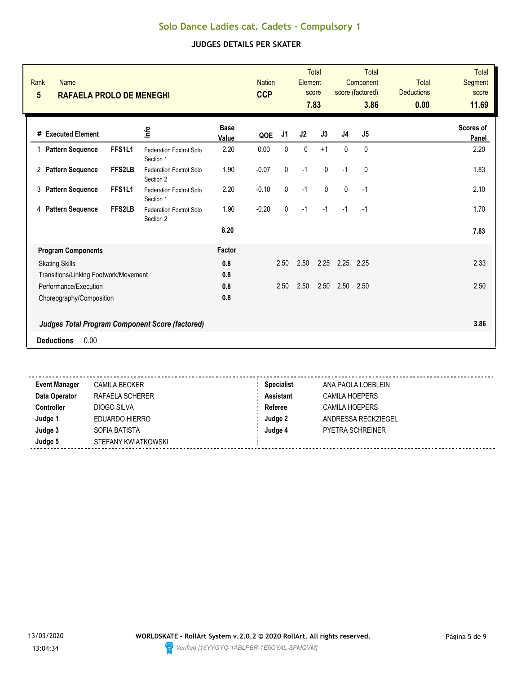#### **JUDGES DETAILS PER SKATER**

| Rank<br><b>Name</b><br>$5\phantom{.0}$<br><b>RAFAELA PROLO DE MENEGHI</b> |               |                                             |                      | <b>Nation</b><br><b>CCP</b> |              | Element   | <b>Total</b><br>score<br>7.83 |                | <b>Total</b><br>Component<br>score (factored)<br>3.86 | <b>Total</b><br><b>Deductions</b><br>0.00 | <b>Total</b><br>Segment<br>score<br>11.69 |
|---------------------------------------------------------------------------|---------------|---------------------------------------------|----------------------|-----------------------------|--------------|-----------|-------------------------------|----------------|-------------------------------------------------------|-------------------------------------------|-------------------------------------------|
| # Executed Element                                                        |               | ١π                                          | <b>Base</b><br>Value | QOE                         | J1           | J2        | J3                            | J <sub>4</sub> | J <sub>5</sub>                                        |                                           | <b>Scores of</b><br>Panel                 |
| 1 Pattern Sequence                                                        | FFS1L1        | <b>Federation Foxtrot Solo</b><br>Section 1 | 2.20                 | 0.00                        | 0            | $\pmb{0}$ | $+1$                          | $\mathbf{0}$   | $\mathbf{0}$                                          |                                           | 2.20                                      |
| 2 Pattern Sequence                                                        | FFS2LB        | <b>Federation Foxtrot Solo</b><br>Section 2 | 1.90                 | $-0.07$                     | $\pmb{0}$    | $-1$      | $\mathbf 0$                   | $-1$           | $\mathbf 0$                                           |                                           | 1.83                                      |
| 3<br><b>Pattern Sequence</b>                                              | FFS1L1        | <b>Federation Foxtrot Solo</b><br>Section 1 | 2.20                 | $-0.10$                     | $\mathbf{0}$ | $-1$      | $\mathbf{0}$                  | $\mathbf{0}$   | $-1$                                                  |                                           | 2.10                                      |
| <b>Pattern Sequence</b><br>4                                              | <b>FFS2LB</b> | Federation Foxtrot Solo<br>Section 2        | 1.90                 | $-0.20$                     | $\mathbf{0}$ | $-1$      | $-1$                          | $-1$           | $-1$                                                  |                                           | 1.70                                      |
|                                                                           |               |                                             | 8.20                 |                             |              |           |                               |                |                                                       |                                           | 7.83                                      |
| <b>Program Components</b>                                                 |               |                                             | Factor               |                             |              |           |                               |                |                                                       |                                           |                                           |
| <b>Skating Skills</b>                                                     |               |                                             | 0.8                  |                             | 2.50         | 2.50      | 2.25                          | 2.25           | 2.25                                                  |                                           | 2.33                                      |
| Transitions/Linking Footwork/Movement                                     |               |                                             | 0.8                  |                             |              |           |                               |                |                                                       |                                           |                                           |
| Performance/Execution                                                     |               |                                             | 0.8                  |                             | 2.50         | 2.50      | 2.50                          | 2.50           | 2.50                                                  |                                           | 2.50                                      |
| Choreography/Composition                                                  |               |                                             | 0.8                  |                             |              |           |                               |                |                                                       |                                           |                                           |
| <b>Judges Total Program Component Score (factored)</b>                    |               |                                             |                      |                             |              |           |                               |                |                                                       |                                           | 3.86                                      |
| 0.00<br><b>Deductions</b>                                                 |               |                                             |                      |                             |              |           |                               |                |                                                       |                                           |                                           |
|                                                                           |               |                                             |                      |                             |              |           |                               |                |                                                       |                                           |                                           |

<u>. . . . . . . . . . . . .</u> -----------------------**Event Manager** CAMILA BECKER **Specialist** ANA PAOLA LOEBLEIN **Data Operator RAFAELA SCHERER <b>Assistant** CAMILA HOEPERS **Controller** DIOGO SILVA **DIOGO SILVA Referee** CAMILA HOEPERS **Judge 1** EDUARDO HIERRO **Judge 2** ANDRESSA RECKZIEGEL **Judge 3** SOFIA BATISTA **Judge 4** PYETRA SCHREINER **Judge 5** STEFANY KWIATKOWSKI

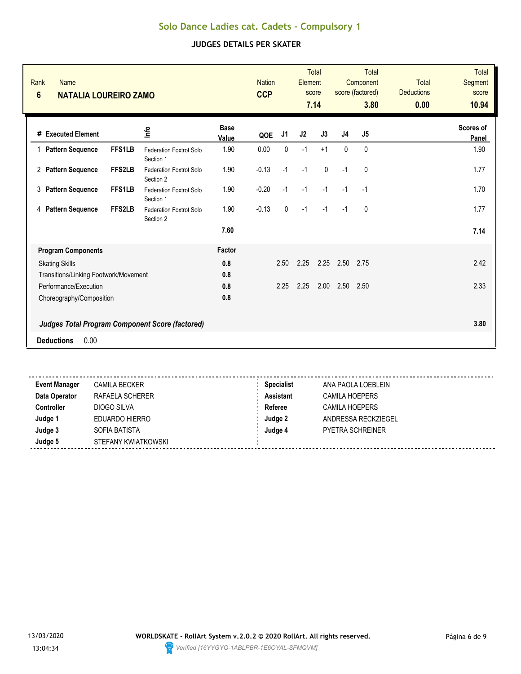| Rank<br><b>Name</b><br>$6\phantom{1}$<br><b>NATALIA LOUREIRO ZAMO</b> |               |                                                        |                      | <b>Nation</b><br><b>CCP</b> |              | Element        | <b>Total</b><br>score |                | <b>Total</b><br>Component<br>score (factored) | <b>Total</b><br><b>Deductions</b> | <b>Total</b><br>Segment<br>score |
|-----------------------------------------------------------------------|---------------|--------------------------------------------------------|----------------------|-----------------------------|--------------|----------------|-----------------------|----------------|-----------------------------------------------|-----------------------------------|----------------------------------|
|                                                                       |               |                                                        |                      |                             |              |                | 7.14                  |                | 3.80                                          | 0.00                              | 10.94                            |
| # Executed Element                                                    |               | ۴ů                                                     | <b>Base</b><br>Value | QOE                         | J1           | J <sub>2</sub> | J3                    | J <sub>4</sub> | J5                                            |                                   | Scores of<br>Panel               |
| <b>Pattern Sequence</b><br>1                                          | FFS1LB        | <b>Federation Foxtrot Solo</b><br>Section 1            | 1.90                 | 0.00                        | 0            | $-1$           | $+1$                  | $\mathbf{0}$   | 0                                             |                                   | 1.90                             |
| <b>Pattern Sequence</b><br>$\mathbf{2}^{\circ}$                       | FFS2LB        | Federation Foxtrot Solo<br>Section 2                   | 1.90                 | $-0.13$                     | $-1$         | $-1$           | $\mathbf{0}$          | $-1$           | 0                                             |                                   | 1.77                             |
| <b>Pattern Sequence</b><br>3                                          | <b>FFS1LB</b> | Federation Foxtrot Solo<br>Section 1                   | 1.90                 | $-0.20$                     | $-1$         | $-1$           | $-1$                  | $-1$           | $-1$                                          |                                   | 1.70                             |
| <b>Pattern Sequence</b><br>4                                          | FFS2LB        | <b>Federation Foxtrot Solo</b><br>Section 2            | 1.90                 | $-0.13$                     | $\mathbf{0}$ | $-1$           | $-1$                  | $-1$           | $\mathbf{0}$                                  |                                   | 1.77                             |
|                                                                       |               |                                                        | 7.60                 |                             |              |                |                       |                |                                               |                                   | 7.14                             |
| <b>Program Components</b>                                             |               |                                                        | Factor               |                             |              |                |                       |                |                                               |                                   |                                  |
| <b>Skating Skills</b>                                                 |               |                                                        | 0.8                  |                             | 2.50         | 2.25           | 2.25                  | 2.50           | 2.75                                          |                                   | 2.42                             |
| Transitions/Linking Footwork/Movement                                 |               |                                                        | 0.8                  |                             |              |                |                       |                |                                               |                                   |                                  |
| Performance/Execution                                                 |               |                                                        | 0.8                  |                             | 2.25         | 2.25           | 2.00                  | 2.50           | 2.50                                          |                                   | 2.33                             |
| Choreography/Composition                                              |               |                                                        | 0.8                  |                             |              |                |                       |                |                                               |                                   |                                  |
|                                                                       |               | <b>Judges Total Program Component Score (factored)</b> |                      |                             |              |                |                       |                |                                               |                                   | 3.80                             |
| 0.00<br><b>Deductions</b>                                             |               |                                                        |                      |                             |              |                |                       |                |                                               |                                   |                                  |
|                                                                       |               |                                                        |                      |                             |              |                |                       |                |                                               |                                   |                                  |

| <b>Event Manager</b> | <b>CAMILA BECKER</b> | <b>Specialist</b> | ANA PAOLA LOEBLEIN      |
|----------------------|----------------------|-------------------|-------------------------|
| Data Operator        | RAFAELA SCHERER      | Assistant         | <b>CAMILA HOEPERS</b>   |
| <b>Controller</b>    | DIOGO SILVA          | Referee           | <b>CAMILA HOEPERS</b>   |
| Judge 1              | EDUARDO HIERRO       | Judge 2           | ANDRESSA RECKZIEGEL     |
| Judge 3              | SOFIA BATISTA        | Judge 4           | <b>PYETRA SCHREINER</b> |
| Judge 5              | STEFANY KWIATKOWSKI  |                   |                         |
|                      |                      |                   |                         |

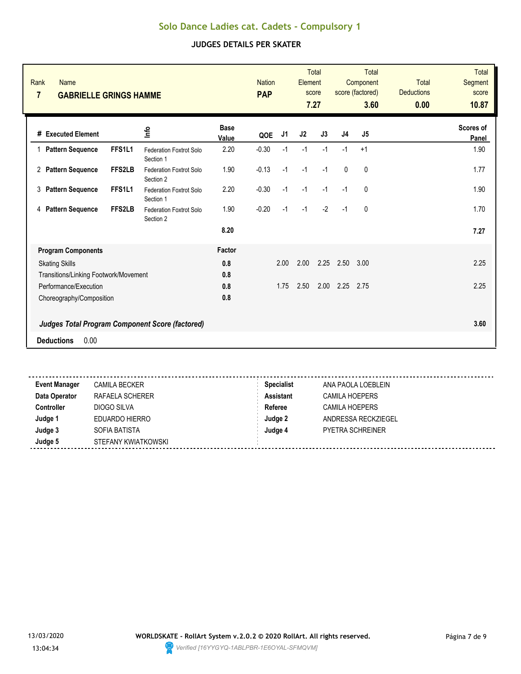| Rank<br><b>Name</b><br>$\overline{7}$<br><b>GABRIELLE GRINGS HAMME</b> |        |                                                        |                      | <b>Nation</b><br><b>PAP</b> |                | Element | <b>Total</b><br>score<br>7.27 |                | <b>Total</b><br>Component<br>score (factored)<br>3.60 | <b>Total</b><br><b>Deductions</b><br>0.00 | <b>Total</b><br>Segment<br>score<br>10.87 |
|------------------------------------------------------------------------|--------|--------------------------------------------------------|----------------------|-----------------------------|----------------|---------|-------------------------------|----------------|-------------------------------------------------------|-------------------------------------------|-------------------------------------------|
| # Executed Element                                                     |        | 울                                                      | <b>Base</b><br>Value | QOE                         | J <sub>1</sub> | J2      | J3                            | J <sub>4</sub> | J5                                                    |                                           | Scores of<br>Panel                        |
| 1 Pattern Sequence                                                     | FFS1L1 | <b>Federation Foxtrot Solo</b><br>Section 1            | 2.20                 | $-0.30$                     | $-1$           | $-1$    | $-1$                          | $-1$           | $+1$                                                  |                                           | 1.90                                      |
| 2 Pattern Sequence                                                     | FFS2LB | Federation Foxtrot Solo<br>Section 2                   | 1.90                 | $-0.13$                     | $-1$           | $-1$    | $-1$                          | $\mathbf 0$    | 0                                                     |                                           | 1.77                                      |
| <b>Pattern Sequence</b><br>3                                           | FFS1L1 | Federation Foxtrot Solo<br>Section 1                   | 2.20                 | $-0.30$                     | $-1$           | $-1$    | $-1$                          | $-1$           | 0                                                     |                                           | 1.90                                      |
| <b>Pattern Sequence</b><br>4                                           | FFS2LB | <b>Federation Foxtrot Solo</b><br>Section 2            | 1.90                 | $-0.20$                     | $-1$           | $-1$    | $-2$                          | $-1$           | $\mathbf{0}$                                          |                                           | 1.70                                      |
|                                                                        |        |                                                        | 8.20                 |                             |                |         |                               |                |                                                       |                                           | 7.27                                      |
| <b>Program Components</b>                                              |        |                                                        | Factor               |                             |                |         |                               |                |                                                       |                                           |                                           |
| <b>Skating Skills</b>                                                  |        |                                                        | 0.8                  |                             | 2.00           | 2.00    | 2.25                          | 2.50           | 3.00                                                  |                                           | 2.25                                      |
| Transitions/Linking Footwork/Movement                                  |        |                                                        | 0.8                  |                             |                |         |                               |                |                                                       |                                           |                                           |
| Performance/Execution                                                  |        |                                                        | 0.8                  |                             | 1.75           | 2.50    | 2.00                          | 2.25           | 2.75                                                  |                                           | 2.25                                      |
| Choreography/Composition                                               |        |                                                        | 0.8                  |                             |                |         |                               |                |                                                       |                                           |                                           |
|                                                                        |        | <b>Judges Total Program Component Score (factored)</b> |                      |                             |                |         |                               |                |                                                       |                                           | 3.60                                      |
| 0.00<br><b>Deductions</b>                                              |        |                                                        |                      |                             |                |         |                               |                |                                                       |                                           |                                           |
|                                                                        |        |                                                        |                      |                             |                |         |                               |                |                                                       |                                           |                                           |

| <b>Event Manager</b> | <b>CAMILA BECKER</b> | <b>Specialist</b> | ANA PAOLA LOEBLEIN      |
|----------------------|----------------------|-------------------|-------------------------|
| Data Operator        | RAFAELA SCHERER      | <b>Assistant</b>  | <b>CAMILA HOEPERS</b>   |
| <b>Controller</b>    | DIOGO SILVA          | Referee           | CAMILA HOEPERS          |
| Judge 1              | EDUARDO HIERRO       | Judge 2           | ANDRESSA RECKZIEGEL     |
| Judge 3              | SOFIA BATISTA        | Judge 4           | <b>PYETRA SCHREINER</b> |
| Judge 5              | STEFANY KWIATKOWSKI  |                   |                         |
|                      |                      |                   |                         |

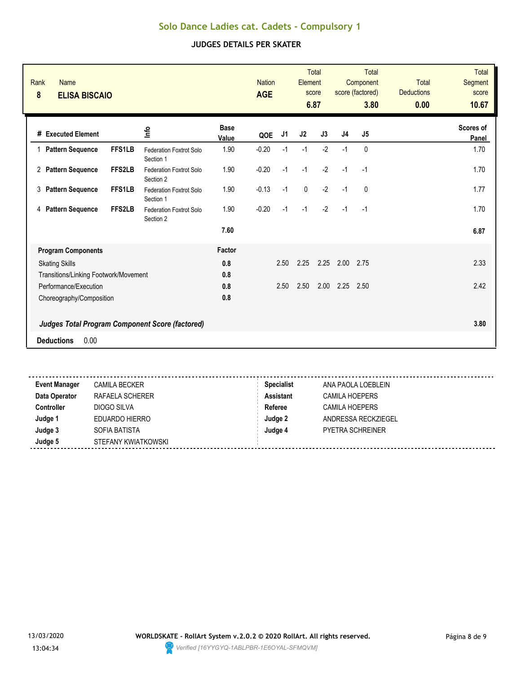| Rank<br><b>Name</b><br>$\pmb{8}$<br><b>ELISA BISCAIO</b> |               |                                                 |                      | <b>Nation</b><br><b>AGE</b> |      | Element     | <b>Total</b><br>score<br>6.87 |                | Total<br>Component<br>score (factored)<br>3.80 | <b>Total</b><br><b>Deductions</b><br>0.00 | <b>Total</b><br>Segment<br>score<br>10.67 |
|----------------------------------------------------------|---------------|-------------------------------------------------|----------------------|-----------------------------|------|-------------|-------------------------------|----------------|------------------------------------------------|-------------------------------------------|-------------------------------------------|
| # Executed Element                                       |               | 을                                               | <b>Base</b><br>Value | QOE                         | J1   | J2          | J3                            | J <sub>4</sub> | J5                                             |                                           | Scores of<br>Panel                        |
| <b>Pattern Sequence</b>                                  | <b>FFS1LB</b> | <b>Federation Foxtrot Solo</b><br>Section 1     | 1.90                 | $-0.20$                     | $-1$ | $-1$        | $-2$                          | $-1$           | $\mathbf{0}$                                   |                                           | 1.70                                      |
| 2 Pattern Sequence                                       | FFS2LB        | Federation Foxtrot Solo<br>Section 2            | 1.90                 | $-0.20$                     | $-1$ | $-1$        | $-2$                          | $-1$           | $-1$                                           |                                           | 1.70                                      |
| 3 Pattern Sequence                                       | FFS1LB        | Federation Foxtrot Solo<br>Section 1            | 1.90                 | $-0.13$                     | $-1$ | $\mathbf 0$ | $-2$                          | $-1$           | $\mathbf{0}$                                   |                                           | 1.77                                      |
| <b>Pattern Sequence</b><br>4                             | FFS2LB        | <b>Federation Foxtrot Solo</b><br>Section 2     | 1.90                 | $-0.20$                     | $-1$ | $-1$        | $-2$                          | $-1$           | $-1$                                           |                                           | 1.70                                      |
|                                                          |               |                                                 | 7.60                 |                             |      |             |                               |                |                                                |                                           | 6.87                                      |
| <b>Program Components</b>                                |               |                                                 |                      |                             |      |             |                               |                |                                                |                                           |                                           |
| <b>Skating Skills</b>                                    |               |                                                 | 0.8                  |                             | 2.50 | 2.25        | 2.25                          | 2.00           | 2.75                                           |                                           | 2.33                                      |
| Transitions/Linking Footwork/Movement                    |               |                                                 | 0.8                  |                             |      |             |                               |                |                                                |                                           |                                           |
| Performance/Execution                                    |               |                                                 | 0.8                  |                             | 2.50 | 2.50        | 2.00                          | 2.25           | 2.50                                           |                                           | 2.42                                      |
| Choreography/Composition                                 |               |                                                 | 0.8                  |                             |      |             |                               |                |                                                |                                           |                                           |
|                                                          |               | Judges Total Program Component Score (factored) |                      |                             |      |             |                               |                |                                                |                                           | 3.80                                      |
| 0.00<br><b>Deductions</b>                                |               |                                                 |                      |                             |      |             |                               |                |                                                |                                           |                                           |
|                                                          |               |                                                 |                      |                             |      |             |                               |                |                                                |                                           |                                           |

| <b>Event Manager</b> | <b>CAMILA BECKER</b> | <b>Specialist</b> | ANA PAOLA LOEBLEIN      |
|----------------------|----------------------|-------------------|-------------------------|
| Data Operator        | RAFAELA SCHERER      | <b>Assistant</b>  | <b>CAMILA HOEPERS</b>   |
| <b>Controller</b>    | DIOGO SILVA          | Referee           | <b>CAMILA HOEPERS</b>   |
| Judge 1              | EDUARDO HIERRO       | Judge 2           | ANDRESSA RECKZIEGEL     |
| Judge 3              | SOFIA BATISTA        | Judge 4           | <b>PYETRA SCHREINER</b> |
| Judge 5              | STEFANY KWIATKOWSKI  |                   |                         |
|                      |                      |                   |                         |